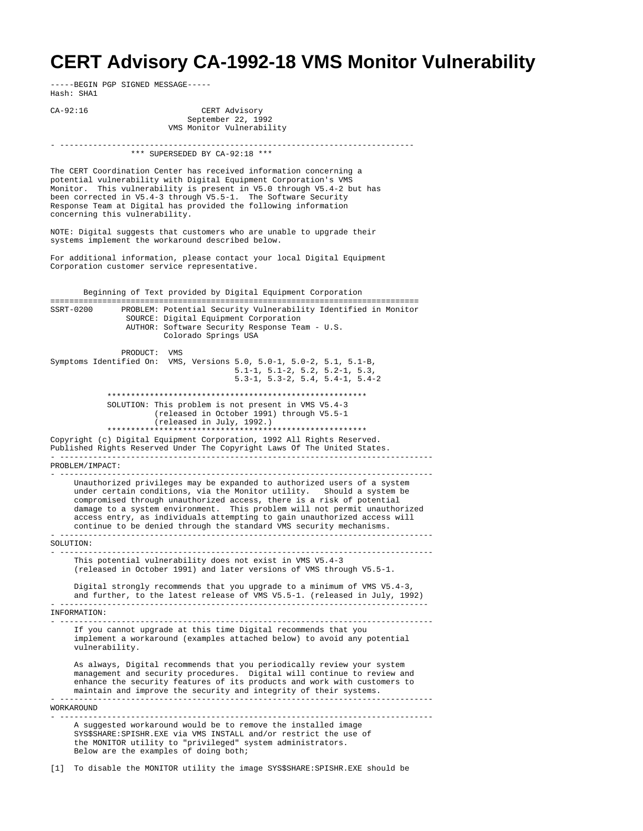## **CERT Advisory CA-1992-18 VMS Monitor Vulnerability**

-----BEGIN PGP SIGNED MESSAGE----- Hash: SHA1

CA-92:16 CERT Advisory September 22, 1992 VMS Monitor Vulnerability - --------------------------------------------------------------------------- \*\*\* SUPERSEDED BY CA-92:18 \*\*\* The CERT Coordination Center has received information concerning a potential vulnerability with Digital Equipment Corporation's VMS Monitor. This vulnerability is present in V5.0 through V5.4-2 but has been corrected in V5.4-3 through V5.5-1. The Software Security Response Team at Digital has provided the following information concerning this vulnerability. NOTE: Digital suggests that customers who are unable to upgrade their systems implement the workaround described below. For additional information, please contact your local Digital Equipment Corporation customer service representative. Beginning of Text provided by Digital Equipment Corporation ============================================================================== PROBLEM: Potential Security Vulnerability Identified in Monitor SOURCE: Digital Equipment Corporation AUTHOR: Software Security Response Team - U.S. Colorado Springs USA PRODUCT: VMS Symptoms Identified On: VMS, Versions 5.0, 5.0-1, 5.0-2, 5.1, 5.1-B, 5.1-1, 5.1-2, 5.2, 5.2-1, 5.3, 5.3-1, 5.3-2, 5.4, 5.4-1, 5.4-2 \*\*\*\*\*\*\*\*\*\*\*\*\*\*\*\*\*\*\*\*\*\*\*\*\*\*\*\*\*\*\*\*\*\*\*\*\*\*\*\*\*\*\*\*\*\*\*\*\*\*\*\*\*\*\* SOLUTION: This problem is not present in VMS V5.4-3 (released in October 1991) through V5.5-1 (released in July, 1992.) \*\*\*\*\*\*\*\*\*\*\*\*\*\*\*\*\*\*\*\*\*\*\*\*\*\*\*\*\*\*\*\*\*\*\*\*\*\*\*\*\*\*\*\*\*\*\*\*\*\*\*\*\*\*\* Copyright (c) Digital Equipment Corporation, 1992 All Rights Reserved. Published Rights Reserved Under The Copyright Laws Of The United States. - ------------------------------------------------------------------------------- PROBLEM/IMPACT: - ------------------------------------------------------------------------------- Unauthorized privileges may be expanded to authorized users of a system under certain conditions, via the Monitor utility. Should a system be compromised through unauthorized access, there is a risk of potential damage to a system environment. This problem will not permit unauthorized access entry, as individuals attempting to gain unauthorized access will continue to be denied through the standard VMS security mechanisms. - ------------------------------------------------------------------------------- SOLUTION: - ------------------------------------------------------------------------------- This potential vulnerability does not exist in VMS V5.4-3 (released in October 1991) and later versions of VMS through V5.5-1. Digital strongly recommends that you upgrade to a minimum of VMS V5.4-3, and further, to the latest release of VMS V5.5-1. (released in July, 1992) - ------------------------------------------------------------------------------ INFORMATION: - ------------------------------------------------------------------------------- If you cannot upgrade at this time Digital recommends that you implement a workaround (examples attached below) to avoid any potential vulnerability. As always, Digital recommends that you periodically review your system management and security procedures. Digital will continue to review and enhance the security features of its products and work with customers to maintain and improve the security and integrity of their systems. - ------------------------------------------------------------------------------- **WORKAROUND** - ------------------------------------------------------------------------------- A suggested workaround would be to remove the installed image SYS\$SHARE:SPISHR.EXE via VMS INSTALL and/or restrict the use of the MONITOR utility to "privileged" system administrators. Below are the examples of doing both;

[1] To disable the MONITOR utility the image SYS\$SHARE:SPISHR.EXE should be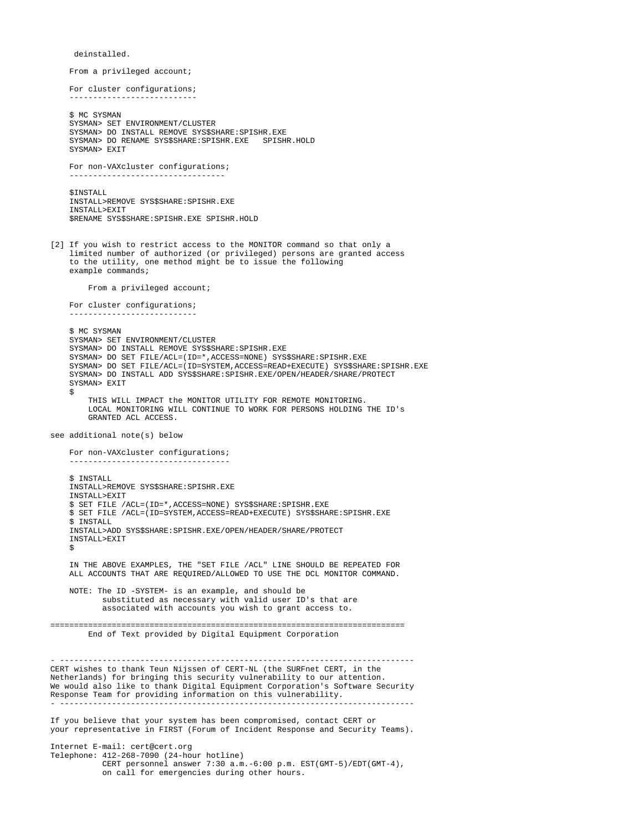deinstalled. From a privileged account; For cluster configurations; --------------------------- \$ MC SYSMAN SYSMAN> SET ENVIRONMENT/CLUSTER SYSMAN> DO INSTALL REMOVE SYS\$SHARE:SPISHR.EXE SYSMAN> DO RENAME SYS\$SHARE:SPISHR.EXE SPISHR.HOLD SYSMAN> EXIT For non-VAXcluster configurations; --------------------------------- SINSTALL. INSTALL>REMOVE SYS\$SHARE:SPISHR.EXE INSTALL>EXIT \$RENAME SYS\$SHARE:SPISHR.EXE SPISHR.HOLD [2] If you wish to restrict access to the MONITOR command so that only a limited number of authorized (or privileged) persons are granted access to the utility, one method might be to issue the following example commands; From a privileged account; For cluster configurations; --------------------------- \$ MC SYSMAN SYSMAN> SET ENVIRONMENT/CLUSTER SYSMAN> DO INSTALL REMOVE SYS\$SHARE:SPISHR.EXE SYSMAN> DO SET FILE/ACL=(ID=\*,ACCESS=NONE) SYS\$SHARE:SPISHR.EXE SYSMAN> DO SET FILE/ACL=(ID=SYSTEM,ACCESS=READ+EXECUTE) SYS\$SHARE:SPISHR.EXE SYSMAN> DO INSTALL ADD SYS\$SHARE:SPISHR.EXE/OPEN/HEADER/SHARE/PROTECT SYSMAN> EXIT  $\ddot{\rm s}$  THIS WILL IMPACT the MONITOR UTILITY FOR REMOTE MONITORING. LOCAL MONITORING WILL CONTINUE TO WORK FOR PERSONS HOLDING THE ID's GRANTED ACL ACCESS. see additional note(s) below For non-VAXcluster configurations; ---------------------------------- \$ INSTALL INSTALL>REMOVE SYS\$SHARE:SPISHR.EXE INSTALL>EXIT \$ SET FILE /ACL=(ID=\*,ACCESS=NONE) SYS\$SHARE:SPISHR.EXE \$ SET FILE /ACL=(ID=SYSTEM,ACCESS=READ+EXECUTE) SYS\$SHARE:SPISHR.EXE \$ INSTALL INSTALL>ADD SYS\$SHARE:SPISHR.EXE/OPEN/HEADER/SHARE/PROTECT INSTALL>EXIT  $\ddot{\mathbf{S}}$  IN THE ABOVE EXAMPLES, THE "SET FILE /ACL" LINE SHOULD BE REPEATED FOR ALL ACCOUNTS THAT ARE REQUIRED/ALLOWED TO USE THE DCL MONITOR COMMAND. NOTE: The ID -SYSTEM- is an example, and should be substituted as necessary with valid user ID's that are associated with accounts you wish to grant access to. =========================================================================== End of Text provided by Digital Equipment Corporation - --------------------------------------------------------------------------- CERT wishes to thank Teun Nijssen of CERT-NL (the SURFnet CERT, in the Netherlands) for bringing this security vulnerability to our attention. We would also like to thank Digital Equipment Corporation's Software Security Response Team for providing information on this vulnerability. - --------------------------------------------------------------------------- If you believe that your system has been compromised, contact CERT or your representative in FIRST (Forum of Incident Response and Security Teams). Internet E-mail: cert@cert.org Telephone: 412-268-7090 (24-hour hotline) CERT personnel answer  $7:30$  a.m.  $-6:00$  p.m. EST(GMT-5)/EDT(GMT-4),

on call for emergencies during other hours.